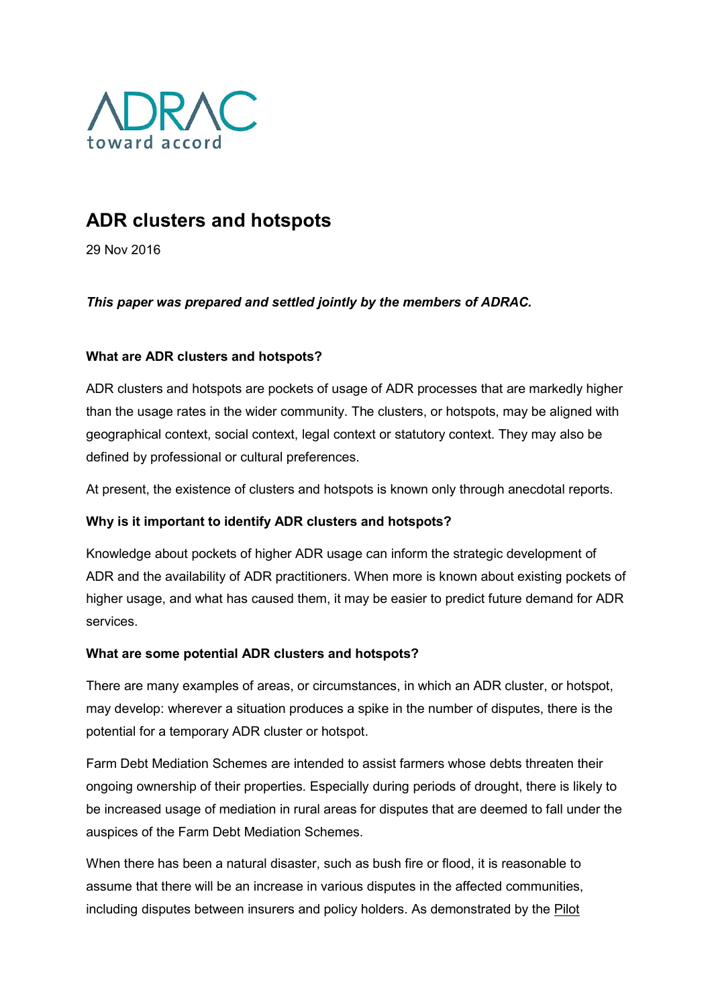

# ADR clusters and hotspots

29 Nov 2016

# This paper was prepared and settled jointly by the members of ADRAC.

# What are ADR clusters and hotspots?

ADR clusters and hotspots are pockets of usage of ADR processes that are markedly higher than the usage rates in the wider community. The clusters, or hotspots, may be aligned with geographical context, social context, legal context or statutory context. They may also be defined by professional or cultural preferences.

At present, the existence of clusters and hotspots is known only through anecdotal reports.

### Why is it important to identify ADR clusters and hotspots?

Knowledge about pockets of higher ADR usage can inform the strategic development of ADR and the availability of ADR practitioners. When more is known about existing pockets of higher usage, and what has caused them, it may be easier to predict future demand for ADR services.

### What are some potential ADR clusters and hotspots?

There are many examples of areas, or circumstances, in which an ADR cluster, or hotspot, may develop: wherever a situation produces a spike in the number of disputes, there is the potential for a temporary ADR cluster or hotspot.

Farm Debt Mediation Schemes are intended to assist farmers whose debts threaten their ongoing ownership of their properties. Especially during periods of drought, there is likely to be increased usage of mediation in rural areas for disputes that are deemed to fall under the auspices of the Farm Debt Mediation Schemes.

When there has been a natural disaster, such as bush fire or flood, it is reasonable to assume that there will be an increase in various disputes in the affected communities, including disputes between insurers and policy holders. As demonstrated by the Pilot